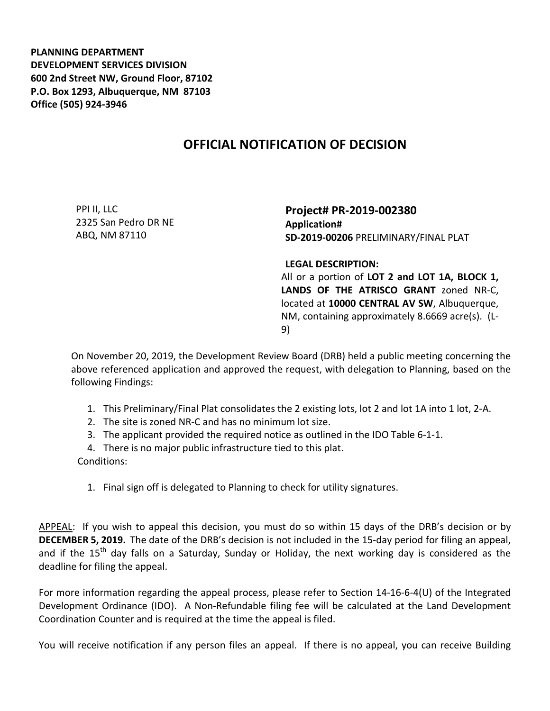**PLANNING DEPARTMENT DEVELOPMENT SERVICES DIVISION 600 2nd Street NW, Ground Floor, 87102 P.O. Box 1293, Albuquerque, NM 87103 Office (505) 924-3946** 

## **OFFICIAL NOTIFICATION OF DECISION**

PPI II, LLC 2325 San Pedro DR NE ABQ, NM 87110

**Project# PR-2019-002380 Application# SD-2019-00206** PRELIMINARY/FINAL PLAT

**LEGAL DESCRIPTION:**

All or a portion of **LOT 2 and LOT 1A, BLOCK 1, LANDS OF THE ATRISCO GRANT** zoned NR-C, located at **10000 CENTRAL AV SW**, Albuquerque, NM, containing approximately 8.6669 acre(s). (L-9)

On November 20, 2019, the Development Review Board (DRB) held a public meeting concerning the above referenced application and approved the request, with delegation to Planning, based on the following Findings:

- 1. This Preliminary/Final Plat consolidates the 2 existing lots, lot 2 and lot 1A into 1 lot, 2-A.
- 2. The site is zoned NR-C and has no minimum lot size.
- 3. The applicant provided the required notice as outlined in the IDO Table 6-1-1.

4. There is no major public infrastructure tied to this plat. Conditions:

1. Final sign off is delegated to Planning to check for utility signatures.

APPEAL: If you wish to appeal this decision, you must do so within 15 days of the DRB's decision or by **DECEMBER 5, 2019.** The date of the DRB's decision is not included in the 15-day period for filing an appeal, and if the 15<sup>th</sup> day falls on a Saturday, Sunday or Holiday, the next working day is considered as the deadline for filing the appeal.

For more information regarding the appeal process, please refer to Section 14-16-6-4(U) of the Integrated Development Ordinance (IDO). A Non-Refundable filing fee will be calculated at the Land Development Coordination Counter and is required at the time the appeal is filed.

You will receive notification if any person files an appeal. If there is no appeal, you can receive Building